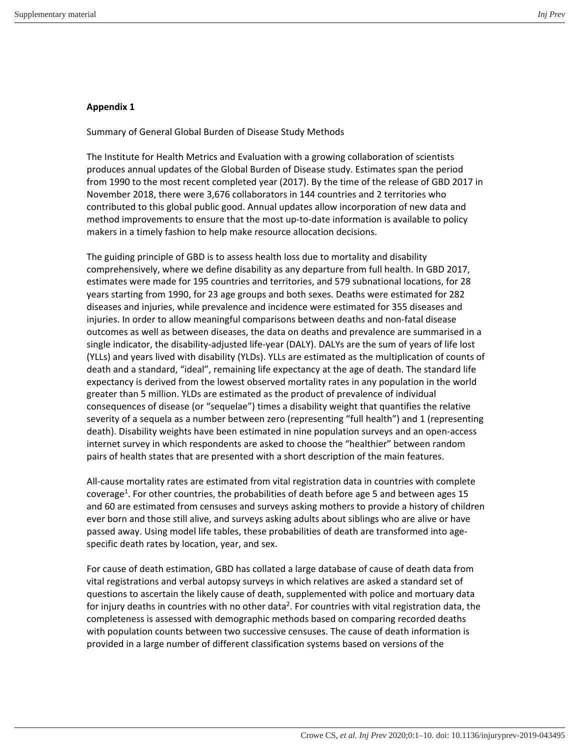## **Appendix 1**

Summary of General Global Burden of Disease Study Methods

The Institute for Health Metrics and Evaluation with a growing collaboration of scientists produces annual updates of the Global Burden of Disease study. Estimates span the period from 1990 to the most recent completed year (2017). By the time of the release of GBD 2017 in November 2018, there were 3,676 collaborators in 144 countries and 2 territories who contributed to this global public good. Annual updates allow incorporation of new data and method improvements to ensure that the most up-to-date information is available to policy makers in a timely fashion to help make resource allocation decisions.

The guiding principle of GBD is to assess health loss due to mortality and disability comprehensively, where we define disability as any departure from full health. In GBD 2017, estimates were made for 195 countries and territories, and 579 subnational locations, for 28 years starting from 1990, for 23 age groups and both sexes. Deaths were estimated for 282 diseases and injuries, while prevalence and incidence were estimated for 355 diseases and injuries. In order to allow meaningful comparisons between deaths and non-fatal disease outcomes as well as between diseases, the data on deaths and prevalence are summarised in a single indicator, the disability-adjusted life-year (DALY). DALYs are the sum of years of life lost (YLLs) and years lived with disability (YLDs). YLLs are estimated as the multiplication of counts of death and a standard, "ideal", remaining life expectancy at the age of death. The standard life expectancy is derived from the lowest observed mortality rates in any population in the world greater than 5 million. YLDs are estimated as the product of prevalence of individual consequences of disease (or "sequelae") times a disability weight that quantifies the relative severity of a sequela as a number between zero (representing "full health") and 1 (representing death). Disability weights have been estimated in nine population surveys and an open-access internet survey in which respondents are asked to choose the "healthier" between random pairs of health states that are presented with a short description of the main features.

All-cause mortality rates are estimated from vital registration data in countries with complete coverage<sup>1</sup>. For other countries, the probabilities of death before age 5 and between ages 15 and 60 are estimated from censuses and surveys asking mothers to provide a history of children ever born and those still alive, and surveys asking adults about siblings who are alive or have passed away. Using model life tables, these probabilities of death are transformed into agespecific death rates by location, year, and sex.

For cause of death estimation, GBD has collated a large database of cause of death data from vital registrations and verbal autopsy surveys in which relatives are asked a standard set of questions to ascertain the likely cause of death, supplemented with police and mortuary data for injury deaths in countries with no other data<sup>2</sup>. For countries with vital registration data, the completeness is assessed with demographic methods based on comparing recorded deaths with population counts between two successive censuses. The cause of death information is provided in a large number of different classification systems based on versions of the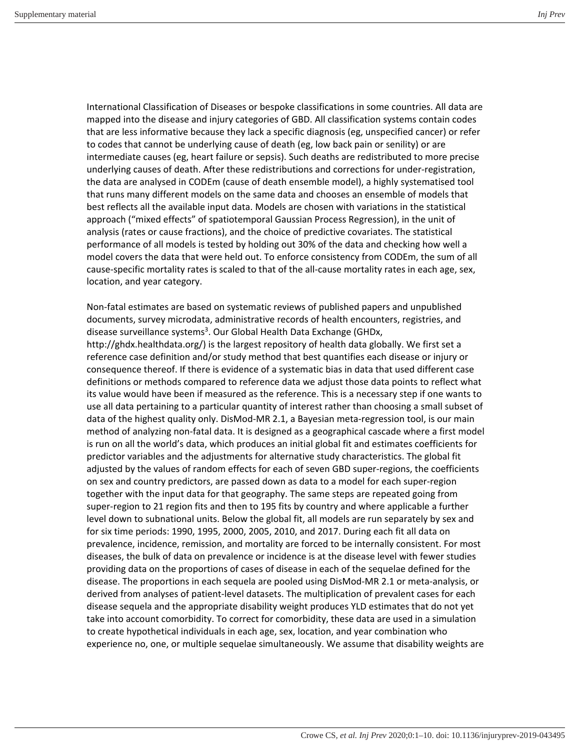International Classification of Diseases or bespoke classifications in some countries. All data are mapped into the disease and injury categories of GBD. All classification systems contain codes that are less informative because they lack a specific diagnosis (eg, unspecified cancer) or refer to codes that cannot be underlying cause of death (eg, low back pain or senility) or are intermediate causes (eg, heart failure or sepsis). Such deaths are redistributed to more precise underlying causes of death. After these redistributions and corrections for under-registration, the data are analysed in CODEm (cause of death ensemble model), a highly systematised tool that runs many different models on the same data and chooses an ensemble of models that best reflects all the available input data. Models are chosen with variations in the statistical approach ("mixed effects" of spatiotemporal Gaussian Process Regression), in the unit of analysis (rates or cause fractions), and the choice of predictive covariates. The statistical performance of all models is tested by holding out 30% of the data and checking how well a model covers the data that were held out. To enforce consistency from CODEm, the sum of all cause-specific mortality rates is scaled to that of the all-cause mortality rates in each age, sex, location, and year category.

Non-fatal estimates are based on systematic reviews of published papers and unpublished documents, survey microdata, administrative records of health encounters, registries, and disease surveillance systems<sup>3</sup>. Our Global Health Data Exchange (GHDx,

http://ghdx.healthdata.org/) is the largest repository of health data globally. We first set a reference case definition and/or study method that best quantifies each disease or injury or consequence thereof. If there is evidence of a systematic bias in data that used different case definitions or methods compared to reference data we adjust those data points to reflect what its value would have been if measured as the reference. This is a necessary step if one wants to use all data pertaining to a particular quantity of interest rather than choosing a small subset of data of the highest quality only. DisMod-MR 2.1, a Bayesian meta-regression tool, is our main method of analyzing non-fatal data. It is designed as a geographical cascade where a first model is run on all the world's data, which produces an initial global fit and estimates coefficients for predictor variables and the adjustments for alternative study characteristics. The global fit adjusted by the values of random effects for each of seven GBD super-regions, the coefficients on sex and country predictors, are passed down as data to a model for each super-region together with the input data for that geography. The same steps are repeated going from super-region to 21 region fits and then to 195 fits by country and where applicable a further level down to subnational units. Below the global fit, all models are run separately by sex and for six time periods: 1990, 1995, 2000, 2005, 2010, and 2017. During each fit all data on prevalence, incidence, remission, and mortality are forced to be internally consistent. For most diseases, the bulk of data on prevalence or incidence is at the disease level with fewer studies providing data on the proportions of cases of disease in each of the sequelae defined for the disease. The proportions in each sequela are pooled using DisMod-MR 2.1 or meta-analysis, or derived from analyses of patient-level datasets. The multiplication of prevalent cases for each disease sequela and the appropriate disability weight produces YLD estimates that do not yet take into account comorbidity. To correct for comorbidity, these data are used in a simulation to create hypothetical individuals in each age, sex, location, and year combination who experience no, one, or multiple sequelae simultaneously. We assume that disability weights are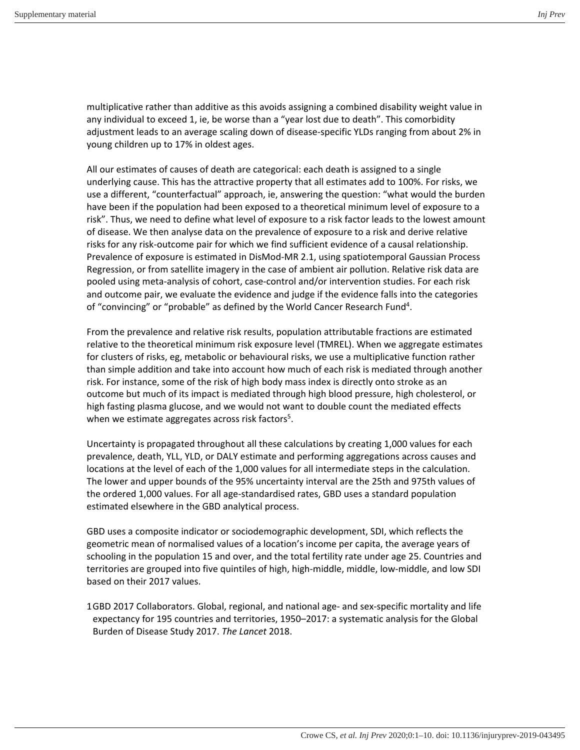multiplicative rather than additive as this avoids assigning a combined disability weight value in any individual to exceed 1, ie, be worse than a "year lost due to death". This comorbidity adjustment leads to an average scaling down of disease-specific YLDs ranging from about 2% in young children up to 17% in oldest ages.

All our estimates of causes of death are categorical: each death is assigned to a single underlying cause. This has the attractive property that all estimates add to 100%. For risks, we use a different, "counterfactual" approach, ie, answering the question: "what would the burden have been if the population had been exposed to a theoretical minimum level of exposure to a risk". Thus, we need to define what level of exposure to a risk factor leads to the lowest amount of disease. We then analyse data on the prevalence of exposure to a risk and derive relative risks for any risk-outcome pair for which we find sufficient evidence of a causal relationship. Prevalence of exposure is estimated in DisMod-MR 2.1, using spatiotemporal Gaussian Process Regression, or from satellite imagery in the case of ambient air pollution. Relative risk data are pooled using meta-analysis of cohort, case-control and/or intervention studies. For each risk and outcome pair, we evaluate the evidence and judge if the evidence falls into the categories of "convincing" or "probable" as defined by the World Cancer Research Fund<sup>4</sup>.

From the prevalence and relative risk results, population attributable fractions are estimated relative to the theoretical minimum risk exposure level (TMREL). When we aggregate estimates for clusters of risks, eg, metabolic or behavioural risks, we use a multiplicative function rather than simple addition and take into account how much of each risk is mediated through another risk. For instance, some of the risk of high body mass index is directly onto stroke as an outcome but much of its impact is mediated through high blood pressure, high cholesterol, or high fasting plasma glucose, and we would not want to double count the mediated effects when we estimate aggregates across risk factors<sup>5</sup>.

Uncertainty is propagated throughout all these calculations by creating 1,000 values for each prevalence, death, YLL, YLD, or DALY estimate and performing aggregations across causes and locations at the level of each of the 1,000 values for all intermediate steps in the calculation. The lower and upper bounds of the 95% uncertainty interval are the 25th and 975th values of the ordered 1,000 values. For all age-standardised rates, GBD uses a standard population estimated elsewhere in the GBD analytical process.

GBD uses a composite indicator or sociodemographic development, SDI, which reflects the geometric mean of normalised values of a location's income per capita, the average years of schooling in the population 15 and over, and the total fertility rate under age 25. Countries and territories are grouped into five quintiles of high, high-middle, middle, low-middle, and low SDI based on their 2017 values.

1 GBD 2017 Collaborators. Global, regional, and national age- and sex-specific mortality and life expectancy for 195 countries and territories, 1950–2017: a systematic analysis for the Global Burden of Disease Study 2017. *The Lancet* 2018.